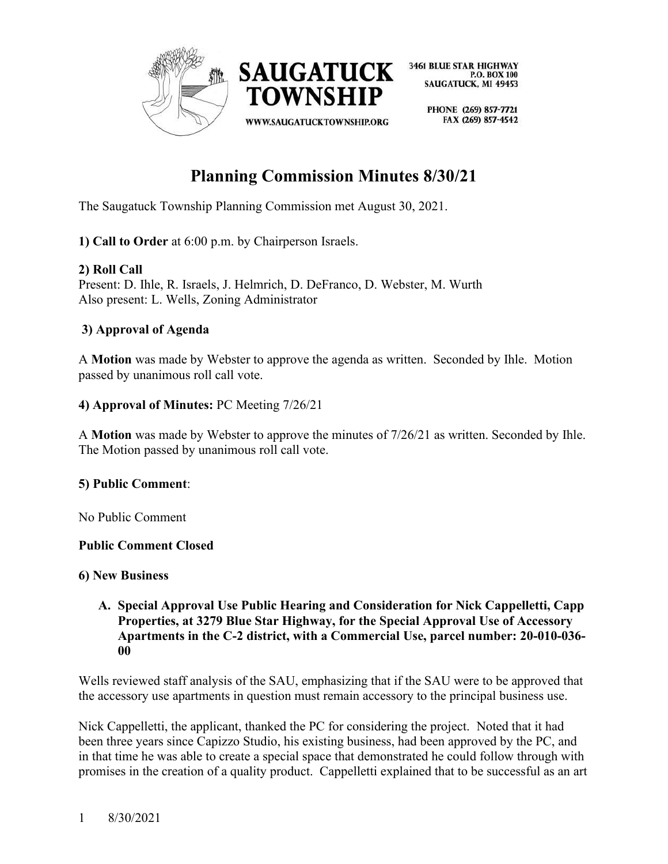

> PHONE (269) 857-7721 FAX (269) 857-4542

# **Planning Commission Minutes 8/30/21**

The Saugatuck Township Planning Commission met August 30, 2021.

**1) Call to Order** at 6:00 p.m. by Chairperson Israels.

## **2) Roll Call**

Present: D. Ihle, R. Israels, J. Helmrich, D. DeFranco, D. Webster, M. Wurth Also present: L. Wells, Zoning Administrator

## **3) Approval of Agenda**

A **Motion** was made by Webster to approve the agenda as written. Seconded by Ihle. Motion passed by unanimous roll call vote.

## **4) Approval of Minutes:** PC Meeting 7/26/21

A **Motion** was made by Webster to approve the minutes of 7/26/21 as written. Seconded by Ihle. The Motion passed by unanimous roll call vote.

## **5) Public Comment**:

No Public Comment

## **Public Comment Closed**

## **6) New Business**

#### **A. Special Approval Use Public Hearing and Consideration for Nick Cappelletti, Capp Properties, at 3279 Blue Star Highway, for the Special Approval Use of Accessory Apartments in the C-2 district, with a Commercial Use, parcel number: 20-010-036- 00**

Wells reviewed staff analysis of the SAU, emphasizing that if the SAU were to be approved that the accessory use apartments in question must remain accessory to the principal business use.

Nick Cappelletti, the applicant, thanked the PC for considering the project. Noted that it had been three years since Capizzo Studio, his existing business, had been approved by the PC, and in that time he was able to create a special space that demonstrated he could follow through with promises in the creation of a quality product. Cappelletti explained that to be successful as an art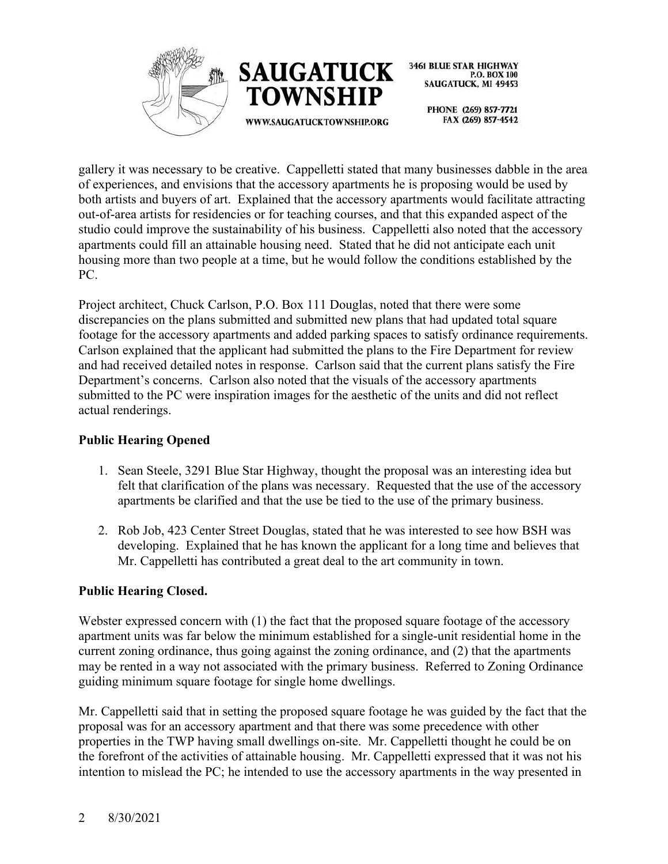



> PHONE (269) 857-7721 FAX (269) 857-4542

gallery it was necessary to be creative. Cappelletti stated that many businesses dabble in the area of experiences, and envisions that the accessory apartments he is proposing would be used by both artists and buyers of art. Explained that the accessory apartments would facilitate attracting out-of-area artists for residencies or for teaching courses, and that this expanded aspect of the studio could improve the sustainability of his business. Cappelletti also noted that the accessory apartments could fill an attainable housing need. Stated that he did not anticipate each unit housing more than two people at a time, but he would follow the conditions established by the PC.

Project architect, Chuck Carlson, P.O. Box 111 Douglas, noted that there were some discrepancies on the plans submitted and submitted new plans that had updated total square footage for the accessory apartments and added parking spaces to satisfy ordinance requirements. Carlson explained that the applicant had submitted the plans to the Fire Department for review and had received detailed notes in response. Carlson said that the current plans satisfy the Fire Department's concerns. Carlson also noted that the visuals of the accessory apartments submitted to the PC were inspiration images for the aesthetic of the units and did not reflect actual renderings.

## **Public Hearing Opened**

- 1. Sean Steele, 3291 Blue Star Highway, thought the proposal was an interesting idea but felt that clarification of the plans was necessary. Requested that the use of the accessory apartments be clarified and that the use be tied to the use of the primary business.
- 2. Rob Job, 423 Center Street Douglas, stated that he was interested to see how BSH was developing. Explained that he has known the applicant for a long time and believes that Mr. Cappelletti has contributed a great deal to the art community in town.

# **Public Hearing Closed.**

Webster expressed concern with (1) the fact that the proposed square footage of the accessory apartment units was far below the minimum established for a single-unit residential home in the current zoning ordinance, thus going against the zoning ordinance, and (2) that the apartments may be rented in a way not associated with the primary business. Referred to Zoning Ordinance guiding minimum square footage for single home dwellings.

Mr. Cappelletti said that in setting the proposed square footage he was guided by the fact that the proposal was for an accessory apartment and that there was some precedence with other properties in the TWP having small dwellings on-site. Mr. Cappelletti thought he could be on the forefront of the activities of attainable housing. Mr. Cappelletti expressed that it was not his intention to mislead the PC; he intended to use the accessory apartments in the way presented in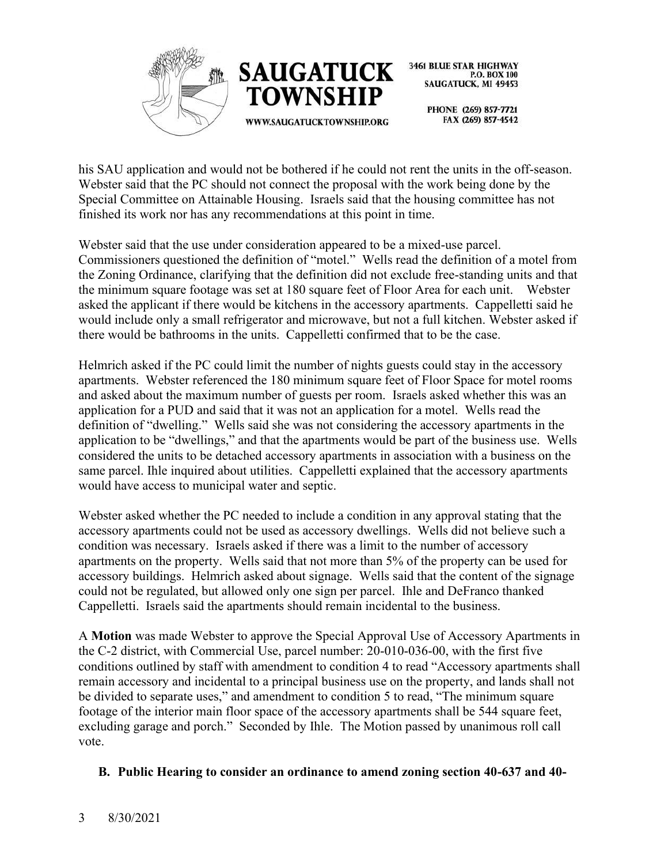



> PHONE (269) 857-7721 FAX (269) 857-4542

his SAU application and would not be bothered if he could not rent the units in the off-season. Webster said that the PC should not connect the proposal with the work being done by the Special Committee on Attainable Housing. Israels said that the housing committee has not finished its work nor has any recommendations at this point in time.

Webster said that the use under consideration appeared to be a mixed-use parcel. Commissioners questioned the definition of "motel." Wells read the definition of a motel from the Zoning Ordinance, clarifying that the definition did not exclude free-standing units and that the minimum square footage was set at 180 square feet of Floor Area for each unit. Webster asked the applicant if there would be kitchens in the accessory apartments. Cappelletti said he would include only a small refrigerator and microwave, but not a full kitchen. Webster asked if there would be bathrooms in the units. Cappelletti confirmed that to be the case.

Helmrich asked if the PC could limit the number of nights guests could stay in the accessory apartments. Webster referenced the 180 minimum square feet of Floor Space for motel rooms and asked about the maximum number of guests per room. Israels asked whether this was an application for a PUD and said that it was not an application for a motel. Wells read the definition of "dwelling." Wells said she was not considering the accessory apartments in the application to be "dwellings," and that the apartments would be part of the business use. Wells considered the units to be detached accessory apartments in association with a business on the same parcel. Ihle inquired about utilities. Cappelletti explained that the accessory apartments would have access to municipal water and septic.

Webster asked whether the PC needed to include a condition in any approval stating that the accessory apartments could not be used as accessory dwellings. Wells did not believe such a condition was necessary. Israels asked if there was a limit to the number of accessory apartments on the property. Wells said that not more than 5% of the property can be used for accessory buildings. Helmrich asked about signage. Wells said that the content of the signage could not be regulated, but allowed only one sign per parcel. Ihle and DeFranco thanked Cappelletti. Israels said the apartments should remain incidental to the business.

A **Motion** was made Webster to approve the Special Approval Use of Accessory Apartments in the C-2 district, with Commercial Use, parcel number: 20-010-036-00, with the first five conditions outlined by staff with amendment to condition 4 to read "Accessory apartments shall remain accessory and incidental to a principal business use on the property, and lands shall not be divided to separate uses," and amendment to condition 5 to read, "The minimum square footage of the interior main floor space of the accessory apartments shall be 544 square feet, excluding garage and porch." Seconded by Ihle. The Motion passed by unanimous roll call vote.

# **B. Public Hearing to consider an ordinance to amend zoning section 40-637 and 40-**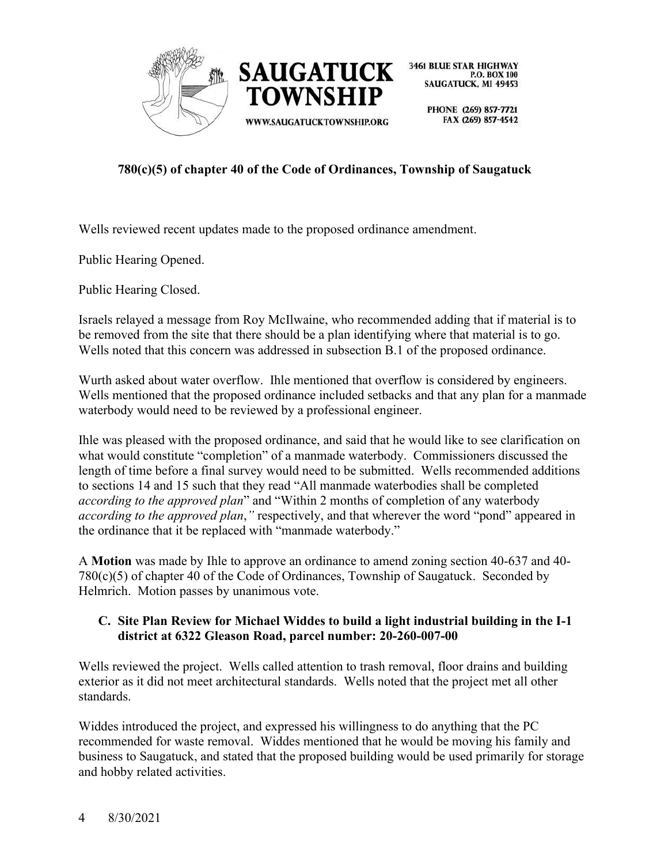

> PHONE (269) 857-7721 FAX (269) 857-4542

# **780(c)(5) of chapter 40 of the Code of Ordinances, Township of Saugatuck**

Wells reviewed recent updates made to the proposed ordinance amendment.

Public Hearing Opened.

Public Hearing Closed.

Israels relayed a message from Roy McIlwaine, who recommended adding that if material is to be removed from the site that there should be a plan identifying where that material is to go. Wells noted that this concern was addressed in subsection B.1 of the proposed ordinance.

Wurth asked about water overflow. Ihle mentioned that overflow is considered by engineers. Wells mentioned that the proposed ordinance included setbacks and that any plan for a manmade waterbody would need to be reviewed by a professional engineer.

Ihle was pleased with the proposed ordinance, and said that he would like to see clarification on what would constitute "completion" of a manmade waterbody. Commissioners discussed the length of time before a final survey would need to be submitted. Wells recommended additions to sections 14 and 15 such that they read "All manmade waterbodies shall be completed *according to the approved plan*" and "Within 2 months of completion of any waterbody *according to the approved plan*,*"* respectively, and that wherever the word "pond" appeared in the ordinance that it be replaced with "manmade waterbody."

A **Motion** was made by Ihle to approve an ordinance to amend zoning section 40-637 and 40-  $780(c)(5)$  of chapter 40 of the Code of Ordinances, Township of Saugatuck. Seconded by Helmrich. Motion passes by unanimous vote.

## **C. Site Plan Review for Michael Widdes to build a light industrial building in the I-1 district at 6322 Gleason Road, parcel number: 20-260-007-00**

Wells reviewed the project. Wells called attention to trash removal, floor drains and building exterior as it did not meet architectural standards. Wells noted that the project met all other standards.

Widdes introduced the project, and expressed his willingness to do anything that the PC recommended for waste removal. Widdes mentioned that he would be moving his family and business to Saugatuck, and stated that the proposed building would be used primarily for storage and hobby related activities.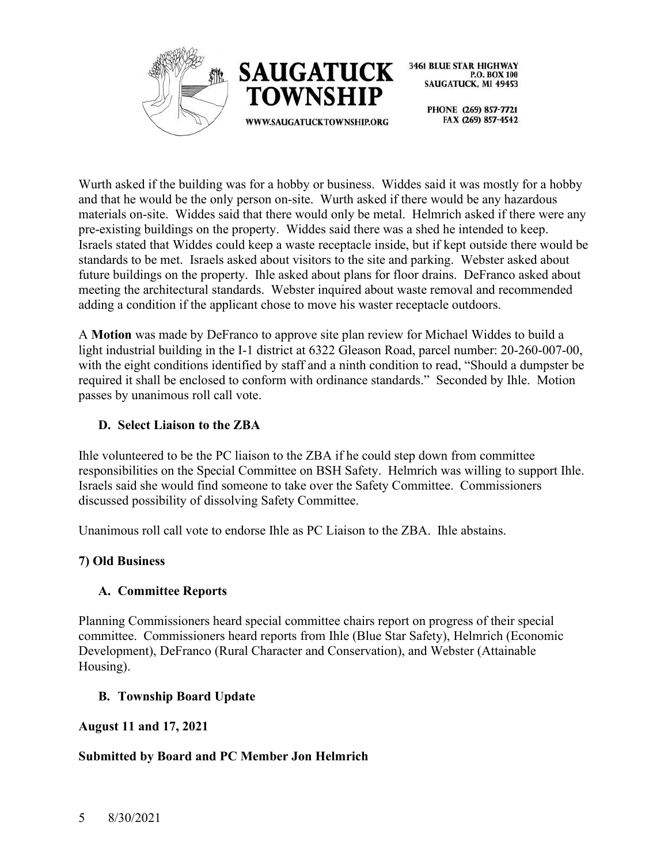



> PHONE (269) 857-7721 FAX (269) 857-4542

Wurth asked if the building was for a hobby or business. Widdes said it was mostly for a hobby and that he would be the only person on-site. Wurth asked if there would be any hazardous materials on-site. Widdes said that there would only be metal. Helmrich asked if there were any pre-existing buildings on the property. Widdes said there was a shed he intended to keep. Israels stated that Widdes could keep a waste receptacle inside, but if kept outside there would be standards to be met. Israels asked about visitors to the site and parking. Webster asked about future buildings on the property. Ihle asked about plans for floor drains. DeFranco asked about meeting the architectural standards. Webster inquired about waste removal and recommended adding a condition if the applicant chose to move his waster receptacle outdoors.

A **Motion** was made by DeFranco to approve site plan review for Michael Widdes to build a light industrial building in the I-1 district at 6322 Gleason Road, parcel number: 20-260-007-00, with the eight conditions identified by staff and a ninth condition to read, "Should a dumpster be required it shall be enclosed to conform with ordinance standards." Seconded by Ihle. Motion passes by unanimous roll call vote.

## **D. Select Liaison to the ZBA**

Ihle volunteered to be the PC liaison to the ZBA if he could step down from committee responsibilities on the Special Committee on BSH Safety. Helmrich was willing to support Ihle. Israels said she would find someone to take over the Safety Committee. Commissioners discussed possibility of dissolving Safety Committee.

Unanimous roll call vote to endorse Ihle as PC Liaison to the ZBA. Ihle abstains.

## **7) Old Business**

## **A. Committee Reports**

Planning Commissioners heard special committee chairs report on progress of their special committee. Commissioners heard reports from Ihle (Blue Star Safety), Helmrich (Economic Development), DeFranco (Rural Character and Conservation), and Webster (Attainable Housing).

## **B. Township Board Update**

## **August 11 and 17, 2021**

## **Submitted by Board and PC Member Jon Helmrich**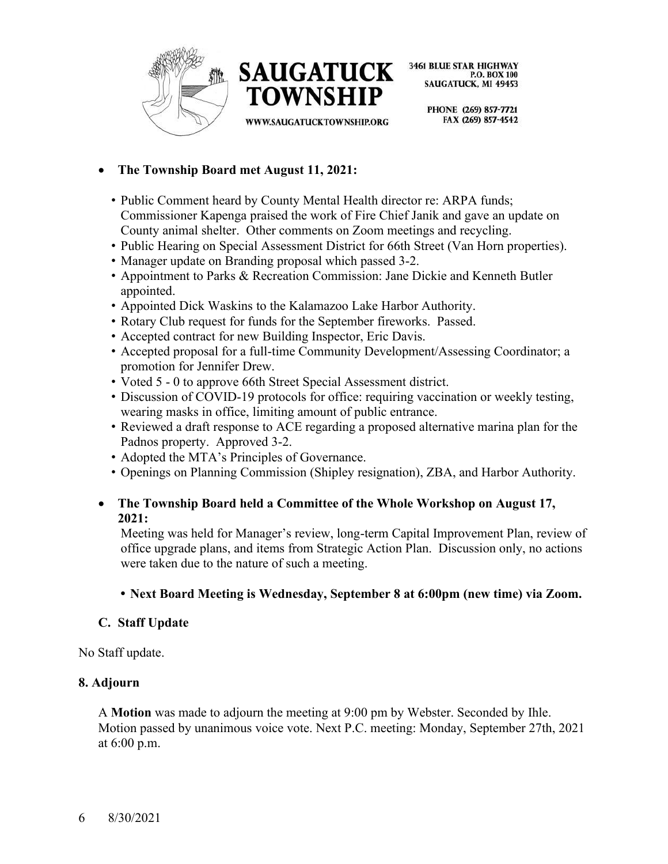



WWW.SAUGATUCKTOWNSHIP.ORG

**3461 BLUE STAR HIGHWAY** P.O. BOX 100 SAUGATUCK, MI 49453

> PHONE (269) 857-7721 FAX (269) 857-4542

- **The Township Board met August 11, 2021:**
	- Public Comment heard by County Mental Health director re: ARPA funds; Commissioner Kapenga praised the work of Fire Chief Janik and gave an update on County animal shelter. Other comments on Zoom meetings and recycling.
	- Public Hearing on Special Assessment District for 66th Street (Van Horn properties).
	- Manager update on Branding proposal which passed 3-2.
	- Appointment to Parks & Recreation Commission: Jane Dickie and Kenneth Butler appointed.
	- Appointed Dick Waskins to the Kalamazoo Lake Harbor Authority.
	- Rotary Club request for funds for the September fireworks. Passed.
	- Accepted contract for new Building Inspector, Eric Davis.
	- Accepted proposal for a full-time Community Development/Assessing Coordinator; a promotion for Jennifer Drew.
	- Voted 5 0 to approve 66th Street Special Assessment district.
	- Discussion of COVID-19 protocols for office: requiring vaccination or weekly testing, wearing masks in office, limiting amount of public entrance.
	- Reviewed a draft response to ACE regarding a proposed alternative marina plan for the Padnos property. Approved 3-2.
	- Adopted the MTA's Principles of Governance.
	- Openings on Planning Commission (Shipley resignation), ZBA, and Harbor Authority.

## • **The Township Board held a Committee of the Whole Workshop on August 17, 2021:**

Meeting was held for Manager's review, long-term Capital Improvement Plan, review of office upgrade plans, and items from Strategic Action Plan. Discussion only, no actions were taken due to the nature of such a meeting.

**• Next Board Meeting is Wednesday, September 8 at 6:00pm (new time) via Zoom.**

# **C. Staff Update**

No Staff update.

## **8. Adjourn**

A **Motion** was made to adjourn the meeting at 9:00 pm by Webster. Seconded by Ihle. Motion passed by unanimous voice vote. Next P.C. meeting: Monday, September 27th, 2021 at 6:00 p.m.